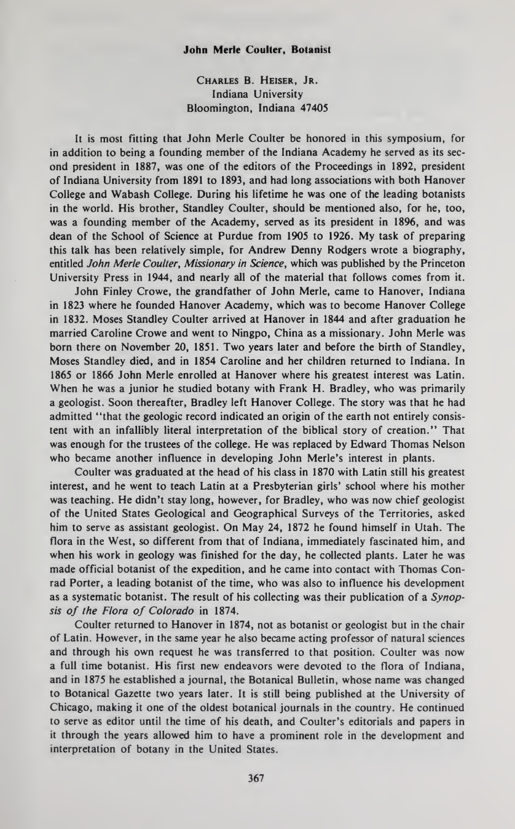## John Merle Coulter, Botanist

Charles B. Heiser, Jr. Indiana University Bloomington, Indiana 47405

It is most fitting that John Merle Coulter be honored in this symposium, for in addition to being a founding member of the Indiana Academy he served as its sec ond president in 1887, was one of the editors of the Proceedings in 1892, president of Indiana University from 1891 to 1893, and had long associations with both Hanover College and Wabash College. During his lifetime he was one of the leading botanists in the world. His brother, Standley Coulter, should be mentioned also, for he, too, was a founding member of the Academy, served as its president in 1896, and was dean of the School of Science at Purdue from <sup>1905</sup> to 1926. My task of preparing this talk has been relatively simple, for Andrew Denny Rodgers wrote a biography, entitled John Merle Coulter, Missionary in Science, which was published by the Princeton University Press in 1944, and nearly all of the material that follows comes from it.

John Finley Crowe, the grandfather of John Merle, came to Hanover, Indiana in 1823 where he founded Hanover Academy, which was to become Hanover College in 1832. Moses Standley Coulter arrived at Hanover in 1844 and after graduation he married Caroline Crowe and went to Ningpo, China as a missionary. John Merle was born there on November 20, 1851. Two years later and before the birth of Standley, Moses Standley died, and in 1854 Caroline and her children returned to Indiana. In 1865 or 1866 John Merle enrolled at Hanover where his greatest interest was Latin. When he was a junior he studied botany with Frank H. Bradley, who was primarily a geologist. Soon thereafter, Bradley left Hanover College. The story was that he had admitted "that the geologic record indicated an origin of the earth not entirely consistent with an infallibly literal interpretation of the biblical story of creation." That was enough for the trustees of the college. He was replaced by Edward Thomas Nelson who became another influence in developing John Merle's interest in plants.

Coulter was graduated at the head of his class in 1870 with Latin still his greatest interest, and he went to teach Latin at a Presbyterian girls' school where his mother was teaching. He didn't stay long, however, for Bradley, who was now chief geologist of the United States Geological and Geographical Surveys of the Territories, asked him to serve as assistant geologist. On May 24, 1872 he found himself in Utah. The flora in the West, so different from that of Indiana, immediately fascinated him, and when his work in geology was finished for the day, he collected plants. Later he was made official botanist of the expedition, and he came into contact with Thomas Conrad Porter, a leading botanist of the time, who was also to influence his development as a systematic botanist. The result of his collecting was their publication of a Synopsis of the Flora of Colorado in 1874.

Coulter returned to Hanover in 1874, not as botanist or geologist but in the chair of Latin. However, in the same year he also became acting professor of natural sciences and through his own request he was transferred to that position. Coulter was now a full time botanist. His first new endeavors were devoted to the flora of Indiana, and in 1875 he established a journal, the Botanical Bulletin, whose name was changed to Botanical Gazette two years later. It is still being published at the University of Chicago, making it one of the oldest botanical journals in the country. He continued to serve as editor until the time of his death, and Coulter's editorials and papers in it through the years allowed him to have a prominent role in the development and interpretation of botany in the United States.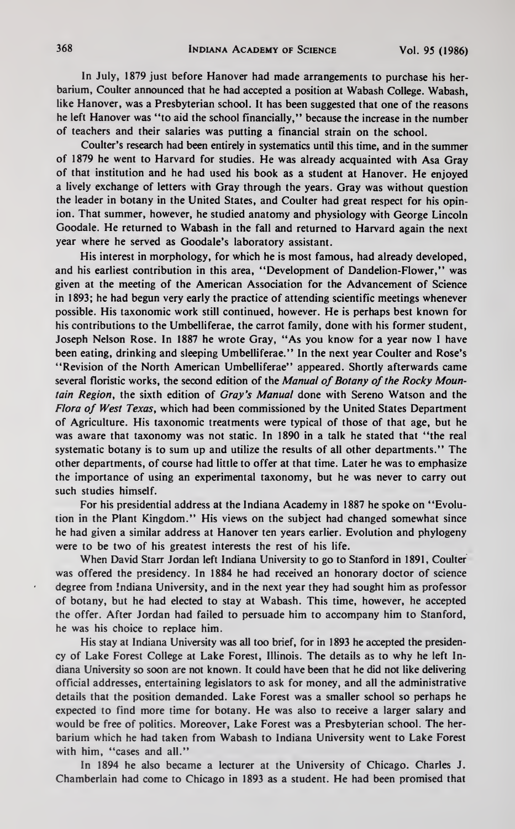In July, 1879 just before Hanover had made arrangements to purchase his her barium, Coulter announced that he had accepted a position at Wabash College. Wabash, like Hanover, was a Presbyterian school. It has been suggested that one of the reasons he left Hanover was "to aid the school financially," because the increase in the number of teachers and their salaries was putting a financial strain on the school.

Coulter's research had been entirely in systematics until this time, and in the summer of 1879 he went to Harvard for studies. He was already acquainted with Asa Gray of that institution and he had used his book as a student at Hanover. He enjoyed a lively exchange of letters with Gray through the years. Gray was without question the leader in botany in the United States, and Coulter had great respect for his opinion. That summer, however, he studied anatomy and physiology with George Lincoln Goodale. He returned to Wabash in the fall and returned to Harvard again the next year where he served as Goodale's laboratory assistant.

His interest in morphology, for which he is most famous, had already developed, and his earliest contribution in this area, "Development of Dandelion-Flower," was given at the meeting of the American Association for the Advancement of Science in 1893; he had begun very early the practice of attending scientific meetings whenever possible. His taxonomic work still continued, however. He is perhaps best known for his contributions to the Umbelliferae, the carrot family, done with his former student, Joseph Nelson Rose. In 1887 he wrote Gray, "As you know for a year now <sup>I</sup> have been eating, drinking and sleeping Umbelliferae." In the next year Coulter and Rose's "Revision of the North American Umbelliferae" appeared. Shortly afterwards came several floristic works, the second edition of the Manual of Botany of the Rocky Mountain Region, the sixth edition of Gray's Manual done with Sereno Watson and the Flora of West Texas, which had been commissioned by the United States Department of Agriculture. His taxonomic treatments were typical of those of that age, but he was aware that taxonomy was not static. In 1890 in a talk he stated that "the real systematic botany is to sum up and utilize the results of all other departments." The other departments, of course had little to offer at that time. Later he was to emphasize the importance of using an experimental taxonomy, but he was never to carry out such studies himself.

For his presidential address at the Indiana Academy in 1887 he spoke on "Evolution in the Plant Kingdom." His views on the subject had changed somewhat since he had given a similar address at Hanover ten years earlier. Evolution and phylogeny were to be two of his greatest interests the rest of his life.

When David Starr Jordan left Indiana University to go to Stanford in 1891, Coulter was offered the presidency. In 1884 he had received an honorary doctor of science degree from Indiana University, and in the next year they had sought him as professor of botany, but he had elected to stay at Wabash. This time, however, he accepted the offer. After Jordan had failed to persuade him to accompany him to Stanford, he was his choice to replace him.

His stay at Indiana University was all too brief, for in 1893 he accepted the presiden cy of Lake Forest College at Lake Forest, Illinois. The details as to why he left In diana University so soon are not known. It could have been that he did not like delivering official addresses, entertaining legislators to ask for money, and all the administrative details that the position demanded. Lake Forest was a smaller school so perhaps he expected to find more time for botany. He was also to receive a larger salary and would be free of politics. Moreover, Lake Forest was a Presbyterian school. The her barium which he had taken from Wabash to Indiana University went to Lake Forest with him, "cases and all."

In 1894 he also became a lecturer at the University of Chicago. Charles J. Chamberlain had come to Chicago in 1893 as a student. He had been promised that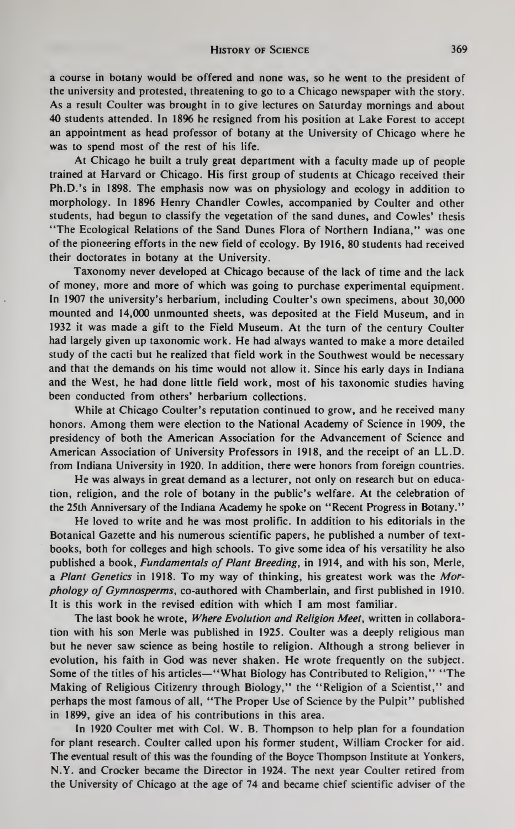a course in botany would be offered and none was, so he went to the president of the university and protested, threatening to go to a Chicago newspaper with the story. As a result Coulter was brought in to give lectures on Saturday mornings and about 40 students attended. In 1896 he resigned from his position at Lake Forest to accept an appointment as head professor of botany at the University of Chicago where he was to spend most of the rest of his life.

At Chicago he built a truly great department with a faculty made up of people trained at Harvard or Chicago. His first group of students at Chicago received their Ph.D.'s in 1898. The emphasis now was on physiology and ecology in addition to morphology. In 1896 Henry Chandler Cowles, accompanied by Coulter and other students, had begun to classify the vegetation of the sand dunes, and Cowles' thesis "The Ecological Relations of the Sand Dunes Flora of Northern Indiana," was one of the pioneering efforts in the new field of ecology. By 1916, 80 students had received their doctorates in botany at the University.

Taxonomy never developed at Chicago because of the lack of time and the lack of money, more and more of which was going to purchase experimental equipment. In 1907 the university's herbarium, including Coulter's own specimens, about 30,000 mounted and 14,000 unmounted sheets, was deposited at the Field Museum, and in 1932 it was made a gift to the Field Museum. At the turn of the century Coulter had largely given up taxonomic work. He had always wanted to make <sup>a</sup>more detailed study of the cacti but he realized that field work in the Southwest would be necessary and that the demands on his time would not allow it. Since his early days in Indiana and the West, he had done little field work, most of his taxonomic studies having been conducted from others' herbarium collections.

While at Chicago Coulter's reputation continued to grow, and he received many honors. Among them were election to the National Academy of Science in 1909, the presidency of both the American Association for the Advancement of Science and American Association of University Professors in 1918, and the receipt of an LL.D. from Indiana University in 1920. In addition, there were honors from foreign countries.

He was always in great demand as a lecturer, not only on research but on education, religion, and the role of botany in the public's welfare. At the celebration of the 25th Anniversary of the Indiana Academy he spoke on "Recent Progress in Botany."

He loved to write and he was most prolific. In addition to his editorials in the Botanical Gazette and his numerous scientific papers, he published a number of text books, both for colleges and high schools. To give some idea of his versatility he also published a book, Fundamentals of Plant Breeding, in 1914, and with his son, Merle, a Plant Genetics in 1918. To my way of thinking, his greatest work was the Morphology of Gymnosperms, co-authored with Chamberlain, and first published in 1910. It is this work in the revised edition with which <sup>I</sup> am most familiar.

The last book he wrote, *Where Evolution and Religion Meet*, written in collaboration with his son Merle was published in 1925. Coulter was a deeply religious man but he never saw science as being hostile to religion. Although a strong believer in evolution, his faith in God was never shaken. He wrote frequently on the subject. Some of the titles of his articles—"What Biology has Contributed to Religion," "The Making of Religious Citizenry through Biology," the "Religion of a Scientist," and perhaps the most famous of all, "The Proper Use of Science by the Pulpit" published in 1899, give an idea of his contributions in this area.

In 1920 Coulter met with Col. W. B. Thompson to help plan for a foundation for plant research. Coulter called upon his former student, William Crocker for aid. The eventual result of this was the founding of the Boyce Thompson Institute at Yonkers, N.Y. and Crocker became the Director in 1924. The next year Coulter retired from the University of Chicago at the age of 74 and became chief scientific adviser of the